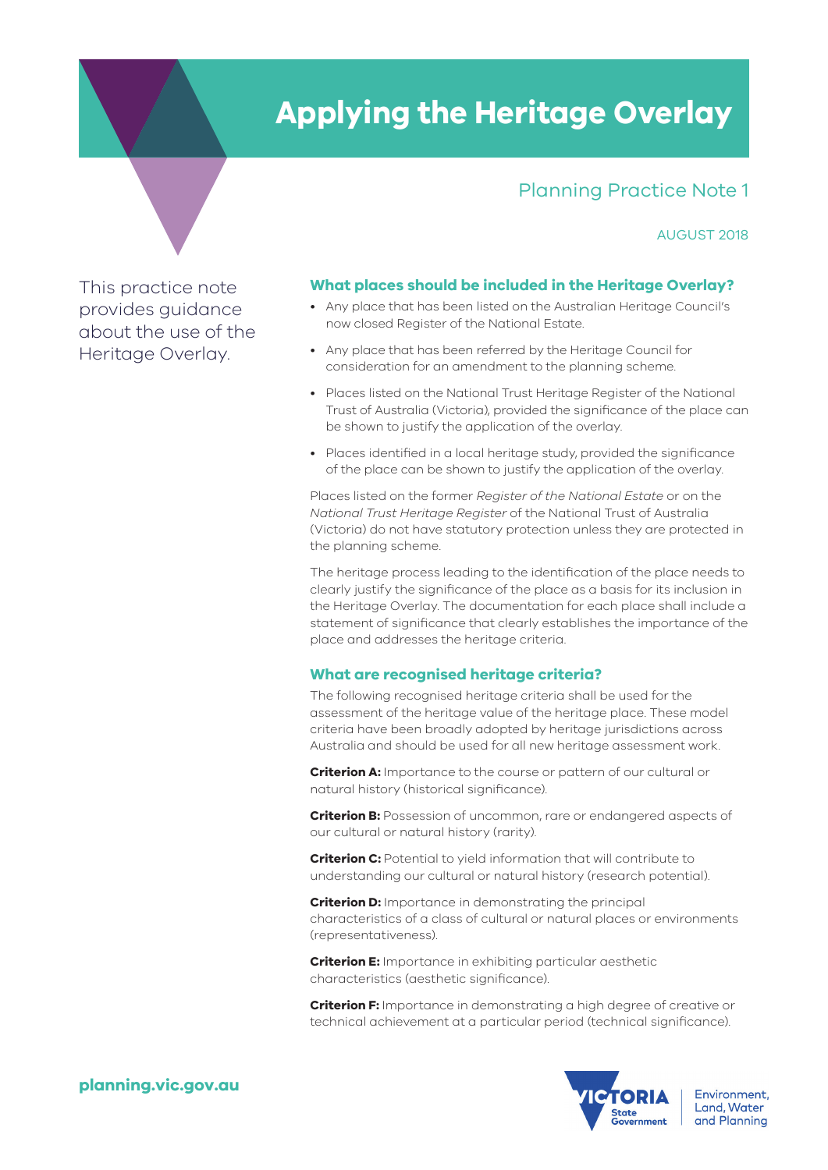### **Applying the Heritage Overlay**

#### Planning Practice Note 1

#### AUGUST 2018

This practice note provides guidance about the use of the Heritage Overlay.

#### **What places should be included in the Heritage Overlay?**

- Any place that has been listed on the Australian Heritage Council's now closed Register of the National Estate.
- Any place that has been referred by the Heritage Council for consideration for an amendment to the planning scheme.
- Places listed on the National Trust Heritage Register of the National Trust of Australia (Victoria), provided the significance of the place can be shown to justify the application of the overlay.
- Places identified in a local heritage study, provided the significance of the place can be shown to justify the application of the overlay.

Places listed on the former *Register of the National Estate* or on the *National Trust Heritage Register* of the National Trust of Australia (Victoria) do not have statutory protection unless they are protected in the planning scheme.

The heritage process leading to the identification of the place needs to clearly justify the significance of the place as a basis for its inclusion in the Heritage Overlay. The documentation for each place shall include a statement of significance that clearly establishes the importance of the place and addresses the heritage criteria.

#### **What are recognised heritage criteria?**

The following recognised heritage criteria shall be used for the assessment of the heritage value of the heritage place. These model criteria have been broadly adopted by heritage jurisdictions across Australia and should be used for all new heritage assessment work.

**Criterion A:** Importance to the course or pattern of our cultural or natural history (historical significance).

**Criterion B:** Possession of uncommon, rare or endangered aspects of our cultural or natural history (rarity).

**Criterion C:** Potential to yield information that will contribute to understanding our cultural or natural history (research potential).

**Criterion D:** Importance in demonstrating the principal characteristics of a class of cultural or natural places or environments (representativeness).

**Criterion E:** Importance in exhibiting particular aesthetic characteristics (aesthetic significance).

**Criterion F:** Importance in demonstrating a high degree of creative or technical achievement at a particular period (technical significance).

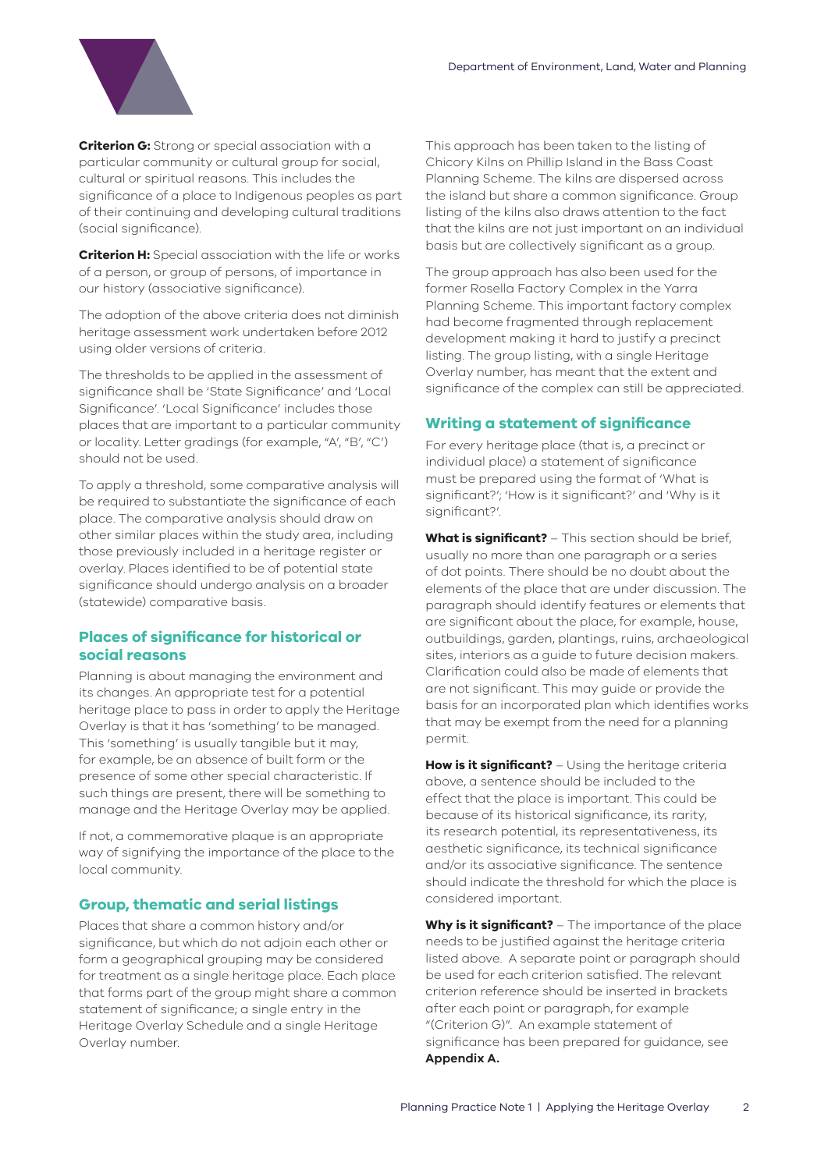

**Criterion G:** Strong or special association with a particular community or cultural group for social, cultural or spiritual reasons. This includes the significance of a place to Indigenous peoples as part of their continuing and developing cultural traditions (social significance).

**Criterion H:** Special association with the life or works of a person, or group of persons, of importance in our history (associative significance).

The adoption of the above criteria does not diminish heritage assessment work undertaken before 2012 using older versions of criteria.

The thresholds to be applied in the assessment of significance shall be 'State Significance' and 'Local Significance'. 'Local Significance' includes those places that are important to a particular community or locality. Letter gradings (for example, "A', "B', "C') should not be used.

To apply a threshold, some comparative analysis will be required to substantiate the significance of each place. The comparative analysis should draw on other similar places within the study area, including those previously included in a heritage register or overlay. Places identified to be of potential state significance should undergo analysis on a broader (statewide) comparative basis.

#### **Places of significance for historical or social reasons**

Planning is about managing the environment and its changes. An appropriate test for a potential heritage place to pass in order to apply the Heritage Overlay is that it has 'something' to be managed. This 'something' is usually tangible but it may, for example, be an absence of built form or the presence of some other special characteristic. If such things are present, there will be something to manage and the Heritage Overlay may be applied.

If not, a commemorative plaque is an appropriate way of signifying the importance of the place to the local community.

#### **Group, thematic and serial listings**

Places that share a common history and/or significance, but which do not adjoin each other or form a geographical grouping may be considered for treatment as a single heritage place. Each place that forms part of the group might share a common statement of significance; a single entry in the Heritage Overlay Schedule and a single Heritage Overlay number.

This approach has been taken to the listing of Chicory Kilns on Phillip Island in the Bass Coast Planning Scheme. The kilns are dispersed across the island but share a common significance. Group listing of the kilns also draws attention to the fact that the kilns are not just important on an individual basis but are collectively significant as a group.

The group approach has also been used for the former Rosella Factory Complex in the Yarra Planning Scheme. This important factory complex had become fragmented through replacement development making it hard to justify a precinct listing. The group listing, with a single Heritage Overlay number, has meant that the extent and significance of the complex can still be appreciated.

#### **Writing a statement of significance**

For every heritage place (that is, a precinct or individual place) a statement of significance must be prepared using the format of 'What is significant?'; 'How is it significant?' and 'Why is it significant?'.

**What is significant?** – This section should be brief, usually no more than one paragraph or a series of dot points. There should be no doubt about the elements of the place that are under discussion. The paragraph should identify features or elements that are significant about the place, for example, house, outbuildings, garden, plantings, ruins, archaeological sites, interiors as a guide to future decision makers. Clarification could also be made of elements that are not significant. This may guide or provide the basis for an incorporated plan which identifies works that may be exempt from the need for a planning permit.

**How is it significant?** – Using the heritage criteria above, a sentence should be included to the effect that the place is important. This could be because of its historical significance, its rarity, its research potential, its representativeness, its aesthetic significance, its technical significance and/or its associative significance. The sentence should indicate the threshold for which the place is considered important.

**Why is it significant?** – The importance of the place needs to be justified against the heritage criteria listed above. A separate point or paragraph should be used for each criterion satisfied. The relevant criterion reference should be inserted in brackets after each point or paragraph, for example "(Criterion G)". An example statement of significance has been prepared for guidance, see **Appendix A.**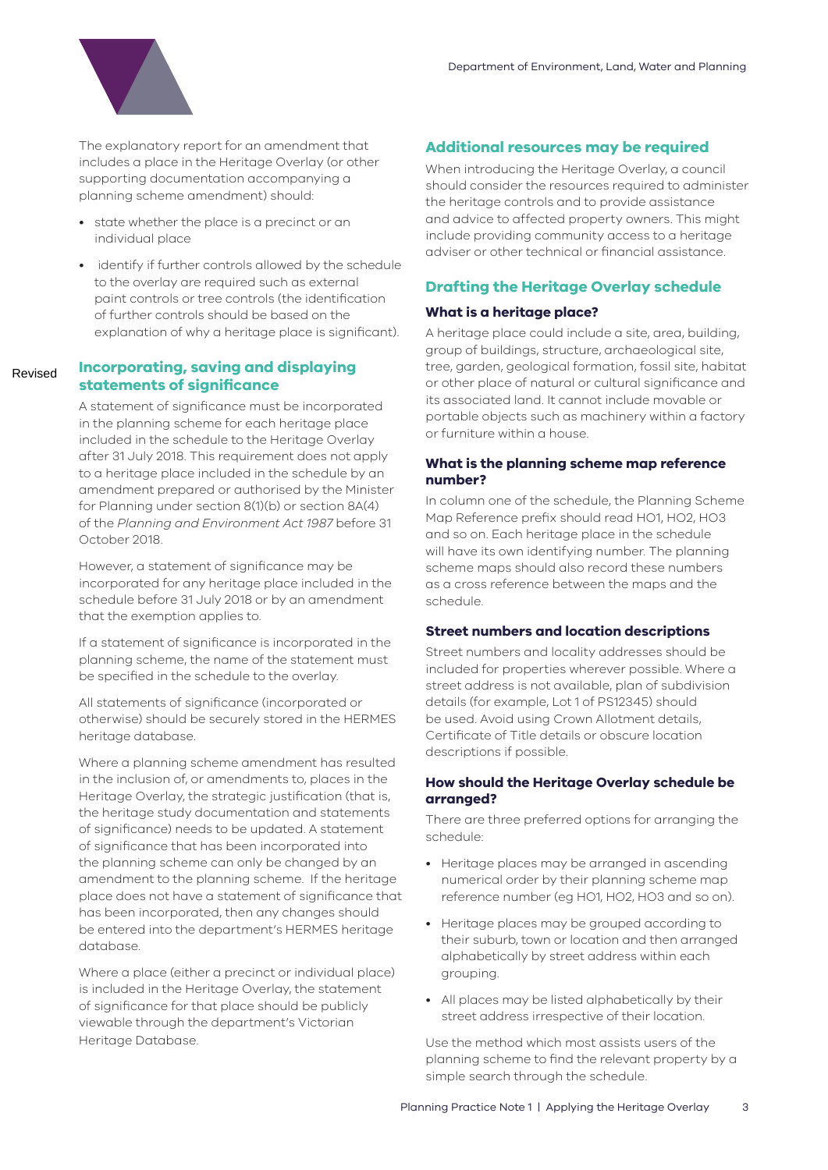

The explanatory report for an amendment that includes a place in the Heritage Overlay (or other supporting documentation accompanying a planning scheme amendment) should:

- state whether the place is a precinct or an individual place
- identify if further controls allowed by the schedule to the overlay are required such as external paint controls or tree controls (the identification of further controls should be based on the explanation of why a heritage place is significant).

#### **Incorporating, saving and displaying statements of significance** Revised

A statement of significance must be incorporated in the planning scheme for each heritage place included in the schedule to the Heritage Overlay after 31 July 2018. This requirement does not apply to a heritage place included in the schedule by an amendment prepared or authorised by the Minister for Planning under section 8(1)(b) or section 8A(4) of the *Planning and Environment Act 1987* before 31 October 2018.

However, a statement of significance may be incorporated for any heritage place included in the schedule before 31 July 2018 or by an amendment that the exemption applies to.

If a statement of significance is incorporated in the planning scheme, the name of the statement must be specified in the schedule to the overlay.

All statements of significance (incorporated or otherwise) should be securely stored in the HERMES heritage database.

Where a planning scheme amendment has resulted in the inclusion of, or amendments to, places in the Heritage Overlay, the strategic justification (that is, the heritage study documentation and statements of significance) needs to be updated. A statement of significance that has been incorporated into the planning scheme can only be changed by an amendment to the planning scheme. If the heritage place does not have a statement of significance that has been incorporated, then any changes should be entered into the department's HERMES heritage database.

Where a place (either a precinct or individual place) is included in the Heritage Overlay, the statement of significance for that place should be publicly viewable through the department's Victorian Heritage Database.

#### **Additional resources may be required**

When introducing the Heritage Overlay, a council should consider the resources required to administer the heritage controls and to provide assistance and advice to affected property owners. This might include providing community access to a heritage adviser or other technical or financial assistance.

#### **Drafting the Heritage Overlay schedule**

#### **What is a heritage place?**

A heritage place could include a site, area, building, group of buildings, structure, archaeological site, tree, garden, geological formation, fossil site, habitat or other place of natural or cultural significance and its associated land. It cannot include movable or portable objects such as machinery within a factory or furniture within a house.

#### **What is the planning scheme map reference number?**

In column one of the schedule, the Planning Scheme Map Reference prefix should read HO1, HO2, HO3 and so on. Each heritage place in the schedule will have its own identifying number. The planning scheme maps should also record these numbers as a cross reference between the maps and the schedule.

#### **Street numbers and location descriptions**

Street numbers and locality addresses should be included for properties wherever possible. Where a street address is not available, plan of subdivision details (for example, Lot 1 of PS12345) should be used. Avoid using Crown Allotment details, Certificate of Title details or obscure location descriptions if possible.

#### **How should the Heritage Overlay schedule be arranged?**

There are three preferred options for arranging the schedule:

- Heritage places may be arranged in ascending numerical order by their planning scheme map reference number (eg HO1, HO2, HO3 and so on).
- Heritage places may be grouped according to their suburb, town or location and then arranged alphabetically by street address within each grouping.
- All places may be listed alphabetically by their street address irrespective of their location.

Use the method which most assists users of the planning scheme to find the relevant property by a simple search through the schedule.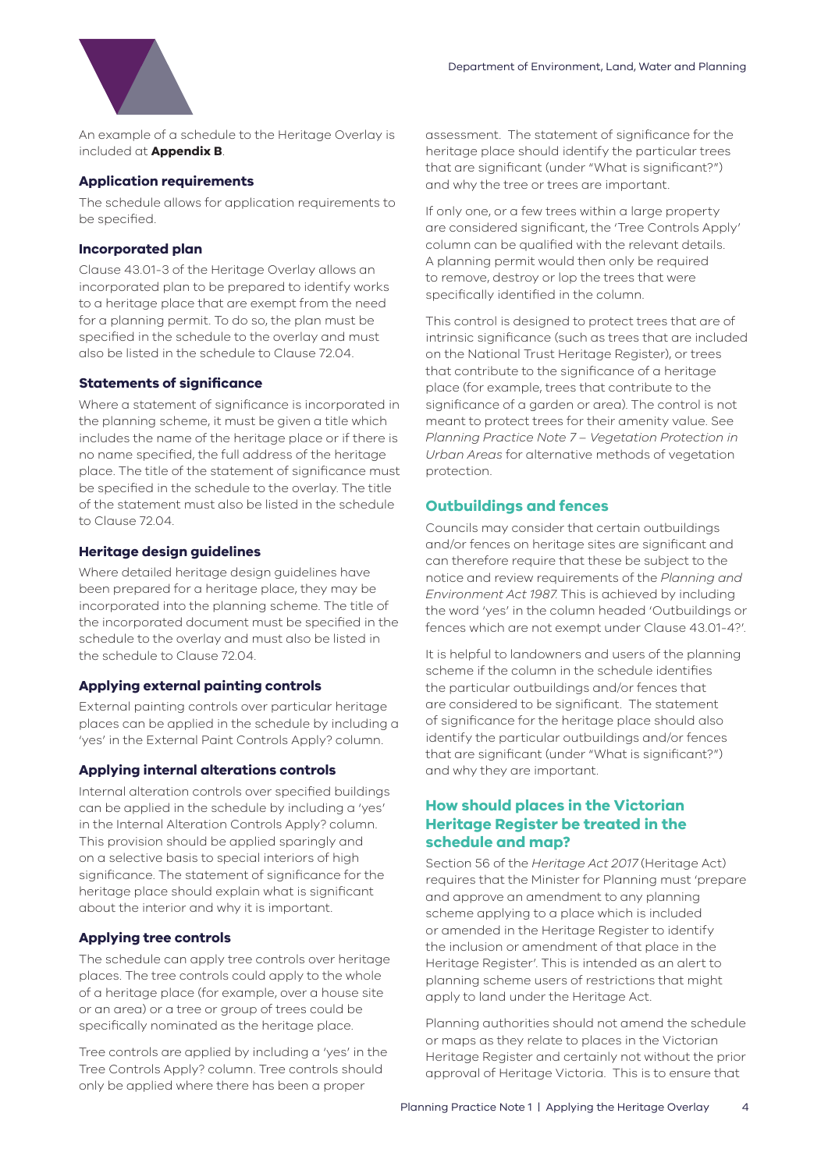

An example of a schedule to the Heritage Overlay is included at **Appendix B**.

#### **Application requirements**

The schedule allows for application requirements to be specified.

#### **Incorporated plan**

Clause 43.01-3 of the Heritage Overlay allows an incorporated plan to be prepared to identify works to a heritage place that are exempt from the need for a planning permit. To do so, the plan must be specified in the schedule to the overlay and must also be listed in the schedule to Clause 72.04.

#### **Statements of significance**

Where a statement of significance is incorporated in the planning scheme, it must be given a title which includes the name of the heritage place or if there is no name specified, the full address of the heritage place. The title of the statement of significance must be specified in the schedule to the overlay. The title of the statement must also be listed in the schedule to Clause 72.04.

#### **Heritage design guidelines**

Where detailed heritage design guidelines have been prepared for a heritage place, they may be incorporated into the planning scheme. The title of the incorporated document must be specified in the schedule to the overlay and must also be listed in the schedule to Clause 72.04.

#### **Applying external painting controls**

External painting controls over particular heritage places can be applied in the schedule by including a 'yes' in the External Paint Controls Apply? column.

#### **Applying internal alterations controls**

Internal alteration controls over specified buildings can be applied in the schedule by including a 'yes' in the Internal Alteration Controls Apply? column. This provision should be applied sparingly and on a selective basis to special interiors of high significance. The statement of significance for the heritage place should explain what is significant about the interior and why it is important.

#### **Applying tree controls**

The schedule can apply tree controls over heritage places. The tree controls could apply to the whole of a heritage place (for example, over a house site or an area) or a tree or group of trees could be specifically nominated as the heritage place.

Tree controls are applied by including a 'yes' in the Tree Controls Apply? column. Tree controls should only be applied where there has been a proper

assessment. The statement of significance for the heritage place should identify the particular trees that are significant (under "What is significant?") and why the tree or trees are important.

If only one, or a few trees within a large property are considered significant, the 'Tree Controls Apply' column can be qualified with the relevant details. A planning permit would then only be required to remove, destroy or lop the trees that were specifically identified in the column.

This control is designed to protect trees that are of intrinsic significance (such as trees that are included on the National Trust Heritage Register), or trees that contribute to the significance of a heritage place (for example, trees that contribute to the significance of a garden or area). The control is not meant to protect trees for their amenity value. See *Planning Practice Note 7 – Vegetation Protection in Urban Areas* for alternative methods of vegetation protection.

#### **Outbuildings and fences**

Councils may consider that certain outbuildings and/or fences on heritage sites are significant and can therefore require that these be subject to the notice and review requirements of the *Planning and Environment Act 1987*. This is achieved by including the word 'yes' in the column headed 'Outbuildings or fences which are not exempt under Clause 43.01-4?'.

It is helpful to landowners and users of the planning scheme if the column in the schedule identifies the particular outbuildings and/or fences that are considered to be significant. The statement of significance for the heritage place should also identify the particular outbuildings and/or fences that are significant (under "What is significant?") and why they are important.

#### **How should places in the Victorian Heritage Register be treated in the schedule and map?**

Section 56 of the *Heritage Act 2017* (Heritage Act) requires that the Minister for Planning must 'prepare and approve an amendment to any planning scheme applying to a place which is included or amended in the Heritage Register to identify the inclusion or amendment of that place in the Heritage Register'. This is intended as an alert to planning scheme users of restrictions that might apply to land under the Heritage Act.

Planning authorities should not amend the schedule or maps as they relate to places in the Victorian Heritage Register and certainly not without the prior approval of Heritage Victoria. This is to ensure that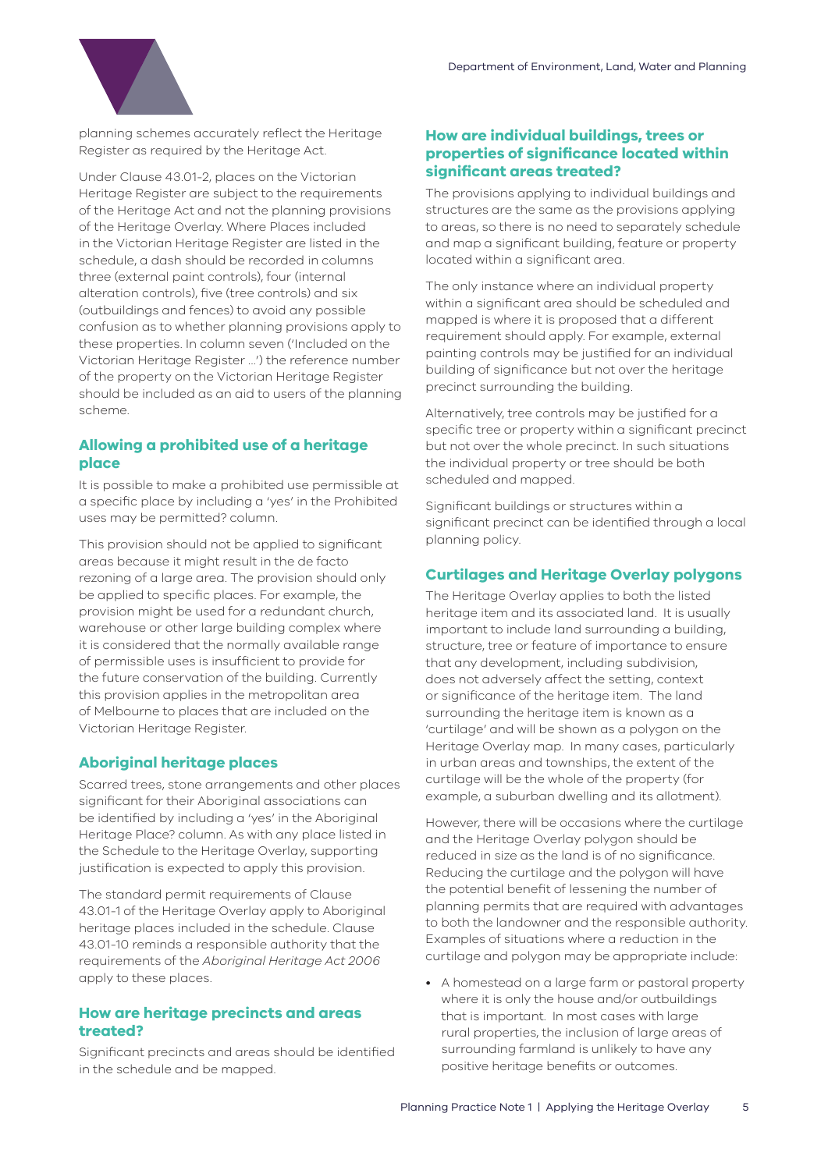

planning schemes accurately reflect the Heritage Register as required by the Heritage Act.

Under Clause 43.01-2, places on the Victorian Heritage Register are subject to the requirements of the Heritage Act and not the planning provisions of the Heritage Overlay. Where Places included in the Victorian Heritage Register are listed in the schedule, a dash should be recorded in columns three (external paint controls), four (internal alteration controls), five (tree controls) and six (outbuildings and fences) to avoid any possible confusion as to whether planning provisions apply to these properties. In column seven ('Included on the Victorian Heritage Register ...') the reference number of the property on the Victorian Heritage Register should be included as an aid to users of the planning scheme.

#### **Allowing a prohibited use of a heritage place**

It is possible to make a prohibited use permissible at a specific place by including a 'yes' in the Prohibited uses may be permitted? column.

This provision should not be applied to significant areas because it might result in the de facto rezoning of a large area. The provision should only be applied to specific places. For example, the provision might be used for a redundant church, warehouse or other large building complex where it is considered that the normally available range of permissible uses is insufficient to provide for the future conservation of the building. Currently this provision applies in the metropolitan area of Melbourne to places that are included on the Victorian Heritage Register.

#### **Aboriginal heritage places**

Scarred trees, stone arrangements and other places significant for their Aboriginal associations can be identified by including a 'yes' in the Aboriginal Heritage Place? column. As with any place listed in the Schedule to the Heritage Overlay, supporting justification is expected to apply this provision.

The standard permit requirements of Clause 43.01-1 of the Heritage Overlay apply to Aboriginal heritage places included in the schedule. Clause 43.01-10 reminds a responsible authority that the requirements of the *Aboriginal Heritage Act 2006* apply to these places.

#### **How are heritage precincts and areas treated?**

Significant precincts and areas should be identified in the schedule and be mapped.

#### **How are individual buildings, trees or properties of significance located within significant areas treated?**

The provisions applying to individual buildings and structures are the same as the provisions applying to areas, so there is no need to separately schedule and map a significant building, feature or property located within a significant area.

The only instance where an individual property within a significant area should be scheduled and mapped is where it is proposed that a different requirement should apply. For example, external painting controls may be justified for an individual building of significance but not over the heritage precinct surrounding the building.

Alternatively, tree controls may be justified for a specific tree or property within a significant precinct but not over the whole precinct. In such situations the individual property or tree should be both scheduled and mapped.

Significant buildings or structures within a significant precinct can be identified through a local planning policy.

#### **Curtilages and Heritage Overlay polygons**

The Heritage Overlay applies to both the listed heritage item and its associated land. It is usually important to include land surrounding a building, structure, tree or feature of importance to ensure that any development, including subdivision, does not adversely affect the setting, context or significance of the heritage item. The land surrounding the heritage item is known as a 'curtilage' and will be shown as a polygon on the Heritage Overlay map. In many cases, particularly in urban areas and townships, the extent of the curtilage will be the whole of the property (for example, a suburban dwelling and its allotment).

However, there will be occasions where the curtilage and the Heritage Overlay polygon should be reduced in size as the land is of no significance. Reducing the curtilage and the polygon will have the potential benefit of lessening the number of planning permits that are required with advantages to both the landowner and the responsible authority. Examples of situations where a reduction in the curtilage and polygon may be appropriate include:

• A homestead on a large farm or pastoral property where it is only the house and/or outbuildings that is important. In most cases with large rural properties, the inclusion of large areas of surrounding farmland is unlikely to have any positive heritage benefits or outcomes.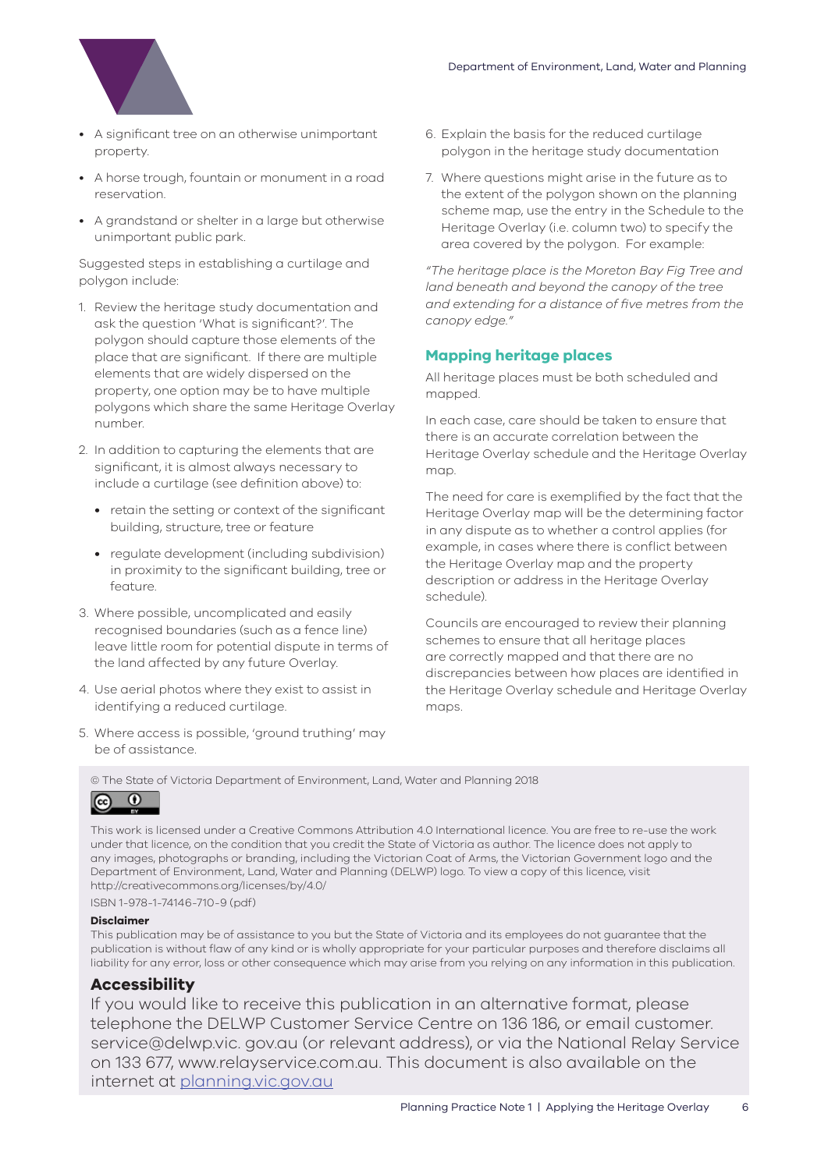

- A significant tree on an otherwise unimportant property.
- A horse trough, fountain or monument in a road reservation.
- A grandstand or shelter in a large but otherwise unimportant public park.

Suggested steps in establishing a curtilage and polygon include:

- 1. Review the heritage study documentation and ask the question 'What is significant?'. The polygon should capture those elements of the place that are significant. If there are multiple elements that are widely dispersed on the property, one option may be to have multiple polygons which share the same Heritage Overlay number.
- 2. In addition to capturing the elements that are significant, it is almost always necessary to include a curtilage (see definition above) to:
	- retain the setting or context of the significant building, structure, tree or feature
	- regulate development (including subdivision) in proximity to the significant building, tree or feature.
- 3. Where possible, uncomplicated and easily recognised boundaries (such as a fence line) leave little room for potential dispute in terms of the land affected by any future Overlay.
- 4. Use aerial photos where they exist to assist in identifying a reduced curtilage.
- 5. Where access is possible, 'ground truthing' may be of assistance.
- 6. Explain the basis for the reduced curtilage polygon in the heritage study documentation
- 7. Where questions might arise in the future as to the extent of the polygon shown on the planning scheme map, use the entry in the Schedule to the Heritage Overlay (i.e. column two) to specify the area covered by the polygon. For example:

*"The heritage place is the Moreton Bay Fig Tree and land beneath and beyond the canopy of the tree and extending for a distance of five metres from the canopy edge."*

#### **Mapping heritage places**

All heritage places must be both scheduled and mapped.

In each case, care should be taken to ensure that there is an accurate correlation between the Heritage Overlay schedule and the Heritage Overlay map.

The need for care is exemplified by the fact that the Heritage Overlay map will be the determining factor in any dispute as to whether a control applies (for example, in cases where there is conflict between the Heritage Overlay map and the property description or address in the Heritage Overlay schedule).

Councils are encouraged to review their planning schemes to ensure that all heritage places are correctly mapped and that there are no discrepancies between how places are identified in the Heritage Overlay schedule and Heritage Overlay maps.

© The State of Victoria Department of Environment, Land, Water and Planning 2018



This work is licensed under a Creative Commons Attribution 4.0 International licence. You are free to re-use the work under that licence, on the condition that you credit the State of Victoria as author. The licence does not apply to any images, photographs or branding, including the Victorian Coat of Arms, the Victorian Government logo and the Department of Environment, Land, Water and Planning (DELWP) logo. To view a copy of this licence, visit http://creativecommons.org/licenses/by/4.0/

ISBN 1-978-1-74146-710-9 (pdf)

#### **Disclaimer**

This publication may be of assistance to you but the State of Victoria and its employees do not guarantee that the publication is without flaw of any kind or is wholly appropriate for your particular purposes and therefore disclaims all liability for any error, loss or other consequence which may arise from you relying on any information in this publication.

#### **Accessibility**

If you would like to receive this publication in an alternative format, please telephone the DELWP Customer Service Centre on 136 186, or email customer. service@delwp.vic. gov.au (or relevant address), or via the National Relay Service on 133 677, www.relayservice.com.au. This document is also available on the internet at planning.vic.gov.au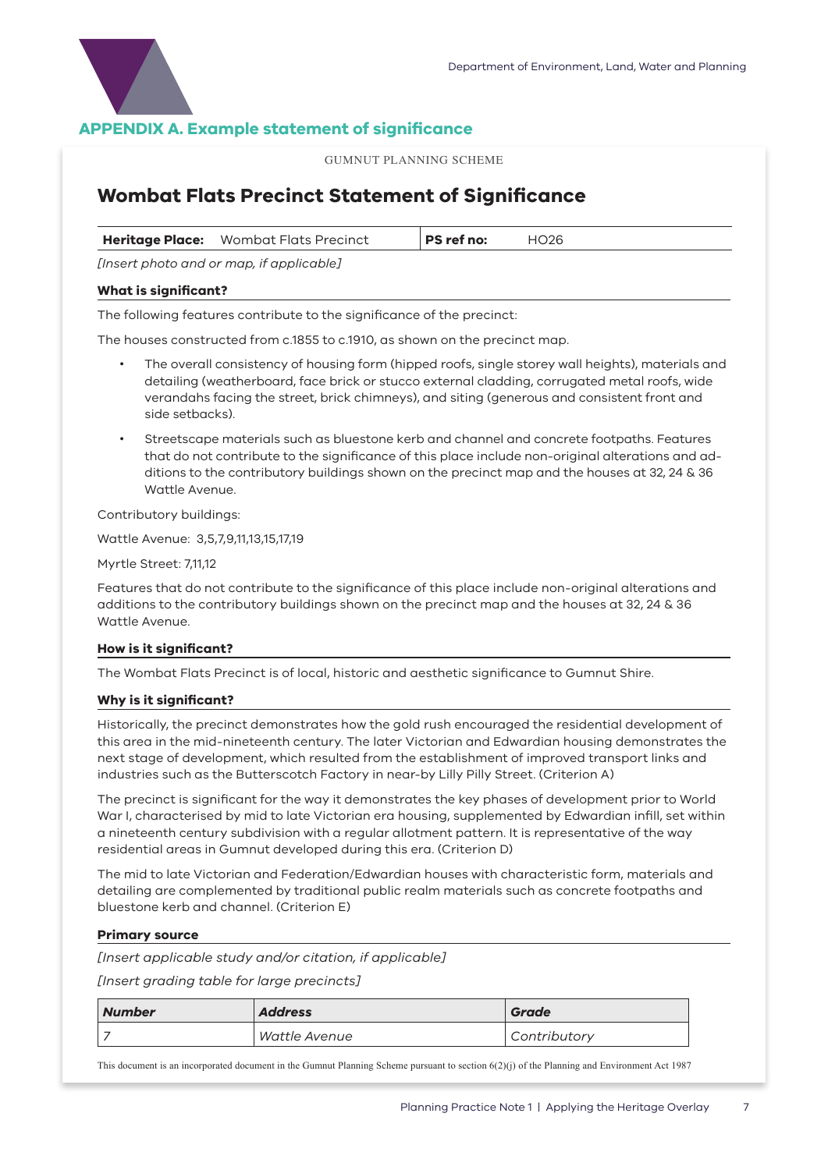

#### **APPENDIX A. Example statement of significance**

GUMNUT PLANNING SCHEME

#### **Wombat Flats Precinct Statement of Significance**

| Heritage Place: Wombat Flats Precinct       | PS ref no: | <b>HO26</b> |
|---------------------------------------------|------------|-------------|
| $Incert$ photo and or man if applicable $l$ |            |             |

*[Insert photo and or map, if applicable]*

#### **What is significant?**

The following features contribute to the significance of the precinct:

The houses constructed from c.1855 to c.1910, as shown on the precinct map.

- The overall consistency of housing form (hipped roofs, single storey wall heights), materials and detailing (weatherboard, face brick or stucco external cladding, corrugated metal roofs, wide verandahs facing the street, brick chimneys), and siting (generous and consistent front and side setbacks).
- Streetscape materials such as bluestone kerb and channel and concrete footpaths. Features that do not contribute to the significance of this place include non-original alterations and additions to the contributory buildings shown on the precinct map and the houses at 32, 24 & 36 Wattle Avenue.

Contributory buildings:

Wattle Avenue: 3,5,7,9,11,13,15,17,19

Myrtle Street: 7,11,12

Features that do not contribute to the significance of this place include non-original alterations and additions to the contributory buildings shown on the precinct map and the houses at 32, 24 & 36 Wattle Avenue.

#### **How is it significant?**

The Wombat Flats Precinct is of local, historic and aesthetic significance to Gumnut Shire.

#### **Why is it significant?**

Historically, the precinct demonstrates how the gold rush encouraged the residential development of this area in the mid-nineteenth century. The later Victorian and Edwardian housing demonstrates the next stage of development, which resulted from the establishment of improved transport links and industries such as the Butterscotch Factory in near-by Lilly Pilly Street. (Criterion A)

The precinct is significant for the way it demonstrates the key phases of development prior to World War I, characterised by mid to late Victorian era housing, supplemented by Edwardian infill, set within a nineteenth century subdivision with a regular allotment pattern. It is representative of the way residential areas in Gumnut developed during this era. (Criterion D)

The mid to late Victorian and Federation/Edwardian houses with characteristic form, materials and detailing are complemented by traditional public realm materials such as concrete footpaths and bluestone kerb and channel. (Criterion E)

#### **Primary source**

*[Insert applicable study and/or citation, if applicable]*

*[Insert grading table for large precincts]*

| <b>Number</b> | <b>Address</b> | Grade        |
|---------------|----------------|--------------|
|               | Wattle Avenue  | Contributory |

This document is an incorporated document in the Gumnut Planning Scheme pursuant to section 6(2)(j) of the Planning and Environment Act 1987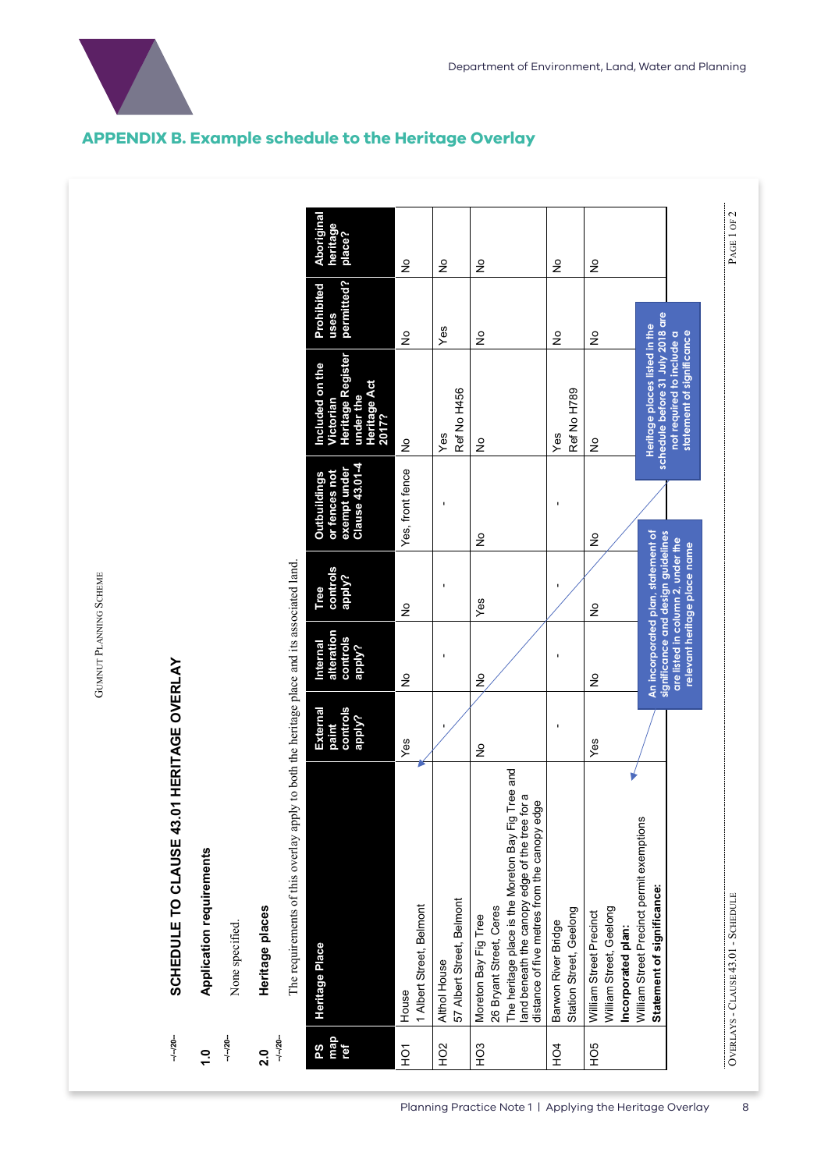

|                  | The requirements of this overlay apply to both the heritage place and its associated land                                                                                                               |                                         |                                                                                                               |                              |                                                                        |                                                                                                                             |                                  |                                 |
|------------------|---------------------------------------------------------------------------------------------------------------------------------------------------------------------------------------------------------|-----------------------------------------|---------------------------------------------------------------------------------------------------------------|------------------------------|------------------------------------------------------------------------|-----------------------------------------------------------------------------------------------------------------------------|----------------------------------|---------------------------------|
| map<br>8s<br>ref | Heritage Place                                                                                                                                                                                          | controls<br>External<br>apply?<br>paint | alteration<br>controls<br>Internal<br>apply?                                                                  | controls<br>apply?<br>Tree   | Clause 43.01-4<br>exempt under<br>or fences not<br><b>Outbuildings</b> | Heritage Register<br>Included on the<br><b>Heritage Act</b><br>under the<br>Victorian<br>2017?                              | permitted?<br>Prohibited<br>uses | Aborigina<br>heritage<br>place? |
| ŠЯ               | 1 Albert Street, Belmont<br>House                                                                                                                                                                       | Yes                                     | ş                                                                                                             | ş                            | Yes, front fence                                                       | $\frac{1}{2}$                                                                                                               | ş                                | ş                               |
| H <sub>O2</sub>  | 57 Albert Street, Belmont<br>Althol House                                                                                                                                                               |                                         |                                                                                                               |                              |                                                                        | Ref No H456<br>Yes                                                                                                          | Yes                              | ş                               |
| HO <sub>3</sub>  | The heritage place is the Moreton Bay Fig Tree and<br>land beneath the canopy edge of the tree for a<br>distance of five metres from the canopy edge<br>26 Bryant Street, Ceres<br>Moreton Bay Fig Tree | $\frac{1}{2}$                           | ş                                                                                                             | Yes                          | $\frac{1}{2}$                                                          | ş                                                                                                                           | ş                                | $\frac{1}{2}$                   |
| HO <sub>4</sub>  | Station Street, Geelong<br>Barwon River Bridge                                                                                                                                                          |                                         |                                                                                                               |                              |                                                                        | Ref No H789<br>Yes                                                                                                          | $\frac{1}{2}$                    | ş                               |
| HO <sub>5</sub>  | William Street, Geelong<br>William Street Precinct<br>Incorporated plan:                                                                                                                                | Yes                                     | ş                                                                                                             | ş                            | ş                                                                      | ş                                                                                                                           | ş                                | ş                               |
|                  | William Street Precinct permit exemptions<br>Statement of significance:                                                                                                                                 |                                         | significance and design guidelines<br>An incorporated plan, statement of<br>are listed in column 2, under the | relevant heritage place name |                                                                        | schedule before 31 July 2018 are<br>Heritage places listed in the<br>not required to include a<br>statement of significance |                                  |                                 |
|                  | OVERLAYS - CLAUSE 43.01 - SCHEDULE                                                                                                                                                                      |                                         |                                                                                                               |                              |                                                                        |                                                                                                                             |                                  | PAGE 1 OF 2                     |

#### **APPENDIX B. Example schedule to the Heritage Overlay**

GUMNUT PLANNING SCHEME GUMNUT PLANNING SCHEME

# SCHEDULE TO CLAUSE 43.01 HERITAGE OVERLAY **SCHEDULE TO CLAUSE 43.01 HERITAGE OVERLAY --/--/20--**

- Application requirements **1.0 Application requirements --/--/20--**
	- None specified. None specified.

## Heritage places **2.0 Heritage places --/--/20--**